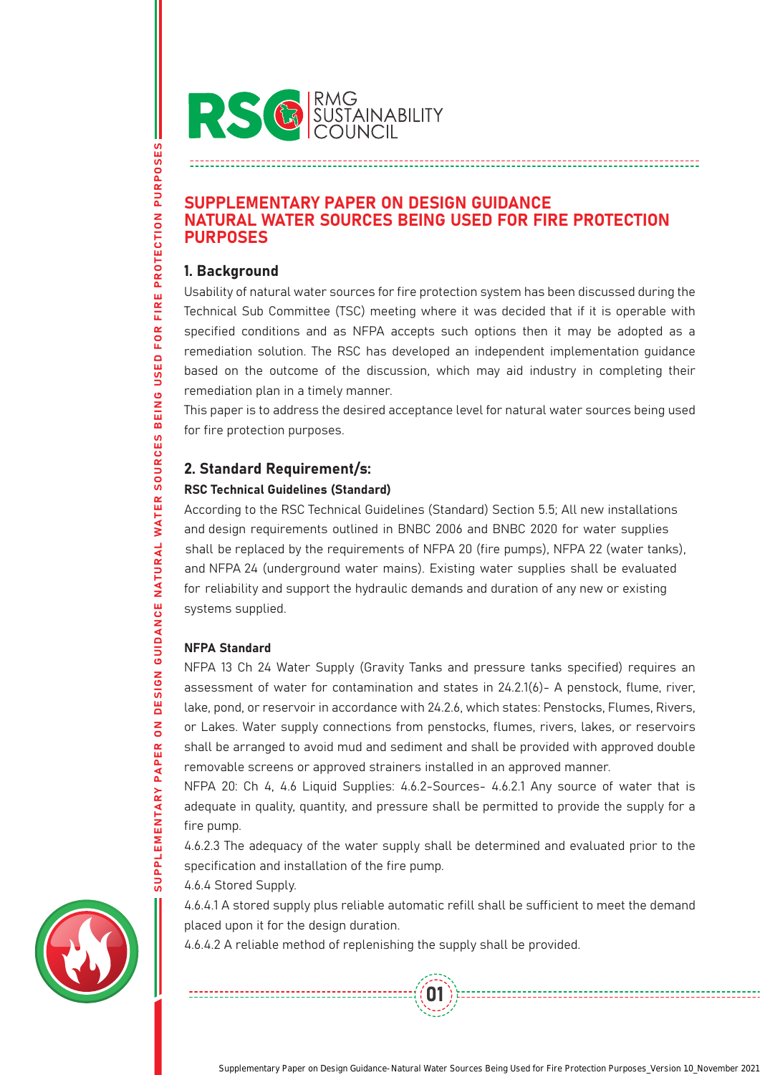

# SUPPLEMENTARY PAPER ON DESIGN GUIDANCE NATURAL WATER SOURCES BEING USED FOR FIRE PROTECTION PURPOSES

# 1. Background

Usability of natural water sources for fire protection system has been discussed during the Technical Sub Committee (TSC) meeting where it was decided that if it is operable with specified conditions and as NFPA accepts such options then it may be adopted as a remediation solution. The RSC has developed an independent implementation guidance based on the outcome of the discussion, which may aid industry in completing their remediation plan in a timely manner.

This paper is to address the desired acceptance level for natural water sources being used for fire protection purposes.

# 2. Standard Requirement/s:

# RSC Technical Guidelines (Standard)

According to the RSC Technical Guidelines (Standard) Section 5.5; All new installations and design requirements outlined in BNBC 2006 and BNBC 2020 for water supplies shall be replaced by the requirements of NFPA 20 (fire pumps), NFPA 22 (water tanks), and NFPA 24 (underground water mains). Existing water supplies shall be evaluated for reliability and support the hydraulic demands and duration of any new or existing systems supplied.

# NFPA Standard

NFPA 13 Ch 24 Water Supply (Gravity Tanks and pressure tanks specified) requires an assessment of water for contamination and states in 24.2.1(6)- A penstock, flume, river, lake, pond, or reservoir in accordance with 24.2.6, which states: Penstocks, Flumes, Rivers, or Lakes. Water supply connections from penstocks, flumes, rivers, lakes, or reservoirs shall be arranged to avoid mud and sediment and shall be provided with approved double removable screens or approved strainers installed in an approved manner.

NFPA 20: Ch 4, 4.6 Liquid Supplies: 4.6.2-Sources- 4.6.2.1 Any source of water that is adequate in quality, quantity, and pressure shall be permitted to provide the supply for a fire pump.

4.6.2.3 The adequacy of the water supply shall be determined and evaluated prior to the specification and installation of the fire pump.

4.6.4 Stored Supply.

4.6.4.1 A stored supply plus reliable automatic refill shall be sufficient to meet the demand placed upon it for the design duration.

01

4.6.4.2 A reliable method of replenishing the supply shall be provided.



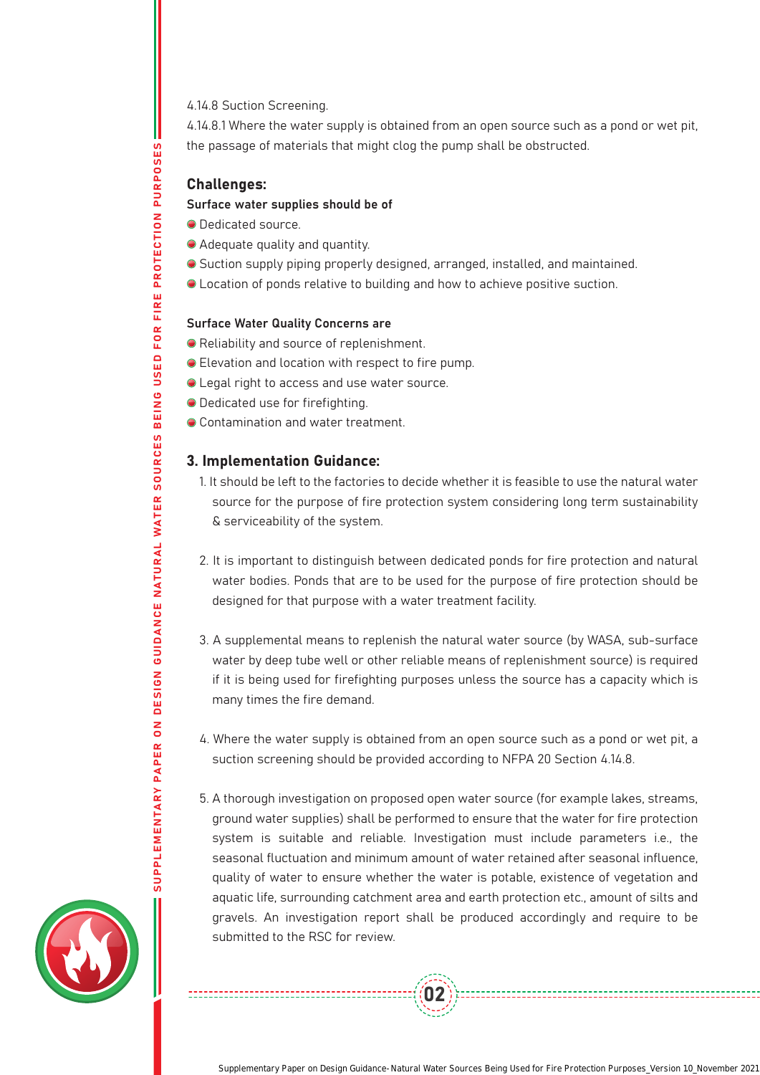4.14.8 Suction Screening.

4.14.8.1 Where the water supply is obtained from an open source such as a pond or wet pit, the passage of materials that might clog the pump shall be obstructed.

## Challenges:

SUPPLEMENTARY PAPER ON DESIGN GUIDANCE NATURAL WATER SOURCES BEING USED FOR FIRE PROTECTION PURPOSES

GUIDANCE NATURAL WATER

**DESIGN** 

 $\overline{\mathsf{S}}$ 

FOR FIRE PROTECTION PURPOSES

USED

BEING

SOURCES

### Surface water supplies should be of

- $\bullet$  Dedicated source.
- Adequate quality and quantity.
- Suction supply piping properly designed, arranged, installed, and maintained.
- Location of ponds relative to building and how to achieve positive suction.

#### Surface Water Quality Concerns are

- Reliability and source of replenishment.
- Elevation and location with respect to fire pump.
- Legal right to access and use water source.
- Dedicated use for firefighting.
- Contamination and water treatment.

#### 3. Implementation Guidance:

- 1. It should be left to the factories to decide whether it is feasible to use the natural water source for the purpose of fire protection system considering long term sustainability & serviceability of the system.
- 2. It is important to distinguish between dedicated ponds for fire protection and natural water bodies. Ponds that are to be used for the purpose of fire protection should be designed for that purpose with a water treatment facility.
- 3. A supplemental means to replenish the natural water source (by WASA, sub-surface water by deep tube well or other reliable means of replenishment source) is required if it is being used for firefighting purposes unless the source has a capacity which is many times the fire demand.
- 4. Where the water supply is obtained from an open source such as a pond or wet pit, a suction screening should be provided according to NFPA 20 Section 4.14.8.
- 5. A thorough investigation on proposed open water source (for example lakes, streams, ground water supplies) shall be performed to ensure that the water for fire protection system is suitable and reliable. Investigation must include parameters i.e., the seasonal fluctuation and minimum amount of water retained after seasonal influence, quality of water to ensure whether the water is potable, existence of vegetation and aquatic life, surrounding catchment area and earth protection etc., amount of silts and gravels. An investigation report shall be produced accordingly and require to be submitted to the RSC for review.

02